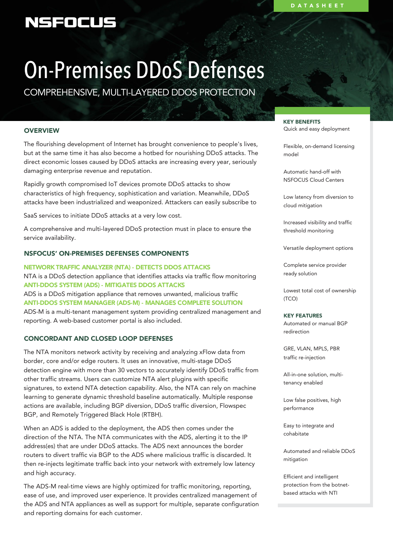# NSFOCUS

# On-Premises DDoS Defenses

COMPREHENSIVE, MULTI-LAYERED DDOS PROTECTION

# **OVERVIEW**

The flourishing development of Internet has brought convenience to people's lives, but at the same time it has also become a hotbed for nourishing DDoS attacks. The direct economic losses caused by DDoS attacks are increasing every year, seriously damaging enterprise revenue and reputation.

Rapidly growth compromised IoT devices promote DDoS attacks to show characteristics of high frequency, sophistication and variation. Meanwhile, DDoS attacks have been industrialized and weaponized. Attackers can easily subscribe to

SaaS services to initiate DDoS attacks at a very low cost.

A comprehensive and multi-layered DDoS protection must in place to ensure the service availability.

# NSFOCUS' ON-PREMISES DEFENSES COMPONENTS

NETWORK TRAFFIC ANALYZER (NTA) - DETECTS DDOS ATTACKS NTA is a DDoS detection appliance that identifies attacks via traffic flow monitoring ANTI-DDOS SYSTEM (ADS) - MITIGATES DDOS ATTACKS ADS is a DDoS mitigation appliance that removes unwanted, malicious traffic ANTI-DDOS SYSTEM MANAGER (ADS-M) - MANAGES COMPLETE SOLUTION ADS-M is a multi-tenant management system providing centralized management and reporting. A web-based customer portal is also included.

# CONCORDANT AND CLOSED LOOP DEFENSES

The NTA monitors network activity by receiving and analyzing xFlow data from border, core and/or edge routers. It uses an innovative, multi-stage DDoS detection engine with more than 30 vectors to accurately identify DDoS traffic from other traffic streams. Users can customize NTA alert plugins with specific signatures, to extend NTA detection capability. Also, the NTA can rely on machine learning to generate dynamic threshold baseline automatically. Multiple response actions are available, including BGP diversion, DDoS traffic diversion, Flowspec BGP, and Remotely Triggered Black Hole (RTBH).

When an ADS is added to the deployment, the ADS then comes under the direction of the NTA. The NTA communicates with the ADS, alerting it to the IP address(es) that are under DDoS attacks. The ADS next announces the border routers to divert traffic via BGP to the ADS where malicious traffic is discarded. It then re-injects legitimate traffic back into your network with extremely low latency and high accuracy.

The ADS-M real-time views are highly optimized for traffic monitoring, reporting, ease of use, and improved user experience. It provides centralized management of the ADS and NTA appliances as well as support for multiple, separate configuration and reporting domains for each customer.

KEY BENEFITS Quick and easy deployment

Flexible, on-demand licensing model

Automatic hand-off with NSFOCUS Cloud Centers

Low latency from diversion to cloud mitigation

Increased visibility and traffic threshold monitoring

Versatile deployment options

Complete service provider ready solution

Lowest total cost of ownership (TCO)

#### KEY FEATURES

Automated or manual BGP redirection

GRE, VLAN, MPLS, PBR traffic re-injection

All-in-one solution, multitenancy enabled

Low false positives, high performance

Easy to integrate and cohabitate

Automated and reliable DDoS mitigation

Efficient and intelligent protection from the botnetbased attacks with NTI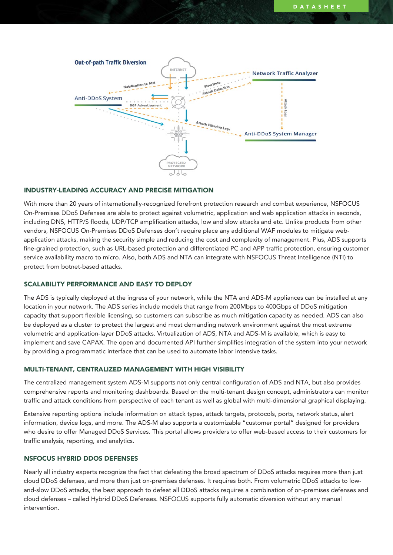

#### INDUSTRY-LEADING ACCURACY AND PRECISE MITIGATION

With more than 20 years of internationally-recognized forefront protection research and combat experience, NSFOCUS On-Premises DDoS Defenses are able to protect against volumetric, application and web application attacks in seconds, including DNS, HTTP/S floods, UDP/TCP amplification attacks, low and slow attacks and etc. Unlike products from other vendors, NSFOCUS On-Premises DDoS Defenses don't require place any additional WAF modules to mitigate webapplication attacks, making the security simple and reducing the cost and complexity of management. Plus, ADS supports fine-grained protection, such as URL-based protection and differentiated PC and APP traffic protection, ensuring customer service availability macro to micro. Also, both ADS and NTA can integrate with NSFOCUS Threat Intelligence (NTI) to protect from botnet-based attacks.

## SCALABILITY PERFORMANCE AND EASY TO DEPLOY

The ADS is typically deployed at the ingress of your network, while the NTA and ADS-M appliances can be installed at any location in your network. The ADS series include models that range from 200Mbps to 400Gbps of DDoS mitigation capacity that support flexible licensing, so customers can subscribe as much mitigation capacity as needed. ADS can also be deployed as a cluster to protect the largest and most demanding network environment against the most extreme volumetric and application-layer DDoS attacks. Virtualization of ADS, NTA and ADS-M is available, which is easy to implement and save CAPAX. The open and documented API further simplifies integration of the system into your network by providing a programmatic interface that can be used to automate labor intensive tasks.

#### MULTI-TENANT, CENTRALIZED MANAGEMENT WITH HIGH VISIBILITY

The centralized management system ADS-M supports not only central configuration of ADS and NTA, but also provides comprehensive reports and monitoring dashboards. Based on the multi-tenant design concept, administrators can monitor traffic and attack conditions from perspective of each tenant as well as global with multi-dimensional graphical displaying.

Extensive reporting options include information on attack types, attack targets, protocols, ports, network status, alert information, device logs, and more. The ADS-M also supports a customizable "customer portal" designed for providers who desire to offer Managed DDoS Services. This portal allows providers to offer web-based access to their customers for traffic analysis, reporting, and analytics.

#### NSFOCUS HYBRID DDOS DEFENSES

Nearly all industry experts recognize the fact that defeating the broad spectrum of DDoS attacks requires more than just cloud DDoS defenses, and more than just on-premises defenses. It requires both. From volumetric DDoS attacks to lowand-slow DDoS attacks, the best approach to defeat all DDoS attacks requires a combination of on-premises defenses and cloud defenses – called Hybrid DDoS Defenses. NSFOCUS supports fully automatic diversion without any manual intervention.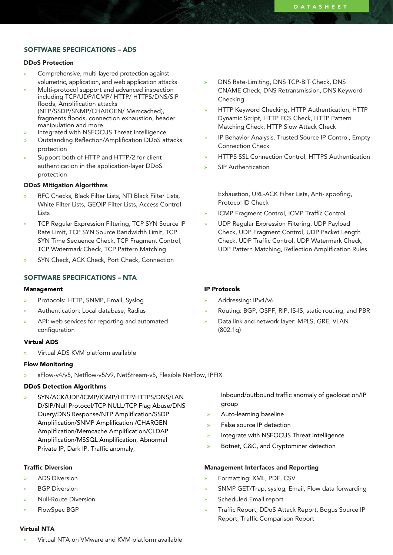# SOFTWARE SPECIFICATIONS – ADS

#### DDoS Protection

- » Comprehensive, multi-layered protection against volumetric, application, and web application attacks
- » Multi-protocol support and advanced inspection including TCP/UDP/ICMP/ HTTP/ HTTPS/DNS/SIP floods, Amplification attacks (NTP/SSDP/SNMP/CHARGEN/ Memcached), fragments floods, connection exhaustion, header manipulation and more
- » Integrated with NSFOCUS Threat Intelligence
- » Outstanding Reflection/Amplification DDoS attacks protection
- Support both of HTTP and HTTP/2 for client authentication in the application-layer DDoS protection

#### DDoS Mitigation Algorithms

- » RFC Checks, Black Filter Lists, NTI Black Filter Lists, White Filter Lists, GEOIP Filter Lists, Access Control Lists
- » TCP Regular Expression Filtering, TCP SYN Source IP Rate Limit, TCP SYN Source Bandwidth Limit, TCP SYN Time Sequence Check, TCP Fragment Control, TCP Watermark Check, TCP Pattern Matching
- » SYN Check, ACK Check, Port Check, Connection

#### SOFTWARE SPECIFICATIONS – NTA

#### Management

- » Protocols: HTTP, SNMP, Email, Syslog
- » Authentication: Local database, Radius
- API: web services for reporting and automated configuration

## Virtual ADS

» Virtual ADS KVM platform available

#### Flow Monitoring

» sFlow-v4/v5, Netflow-v5/v9, NetStream-v5, Flexible Netflow, IPFIX

#### DDoS Detection Algorithms

» SYN/ACK/UDP/ICMP/IGMP/HTTP/HTTPS/DNS/LAN D/SIP/Null Protocol/TCP NULL/TCP Flag Abuse/DNS Query/DNS Response/NTP Amplification/SSDP Amplification/SNMP Amplification /CHARGEN Amplification/Memcache Amplification/CLDAP Amplification/MSSQL Amplification, Abnormal Private IP, Dark IP, Traffic anomaly,

#### Traffic Diversion

- » ADS Diversion
- **BGP** Diversion
- » Null-Route Diversion
- » FlowSpec BGP
- Virtual NTA
- » Virtual NTA on VMware and KVM platform available
- » DNS Rate-Limiting, DNS TCP-BIT Check, DNS CNAME Check, DNS Retransmission, DNS Keyword Checking
- » HTTP Keyword Checking, HTTP Authentication, HTTP Dynamic Script, HTTP FCS Check, HTTP Pattern Matching Check, HTTP Slow Attack Check
- » IP Behavior Analysis, Trusted Source IP Control, Empty Connection Check
- » HTTPS SSL Connection Control, HTTPS Authentication
- » SIP Authentication

Exhaustion, URL-ACK Filter Lists, Anti- spoofing, Protocol ID Check

- » ICMP Fragment Control, ICMP Traffic Control
- » UDP Regular Expression Filtering, UDP Payload Check, UDP Fragment Control, UDP Packet Length Check, UDP Traffic Control, UDP Watermark Check, UDP Pattern Matching, Reflection Amplification Rules

#### IP Protocols

- » Addressing: IPv4/v6
- » Routing: BGP, OSPF, RIP, IS-IS, static routing, and PBR
- Data link and network layer: MPLS, GRE, VLAN (802.1q)

Inbound/outbound traffic anomaly of geolocation/IP group

- » Auto-learning baseline
- » False source IP detection
- » Integrate with NSFOCUS Threat Intelligence
- » Botnet, C&C, and Cryptominer detection

#### Management Interfaces and Reporting

- » Formatting: XML, PDF, CSV
- » SNMP GET/Trap, syslog, Email, Flow data forwarding
- » Scheduled Email report
- » Traffic Report, DDoS Attack Report, Bogus Source IP Report, Traffic Comparison Report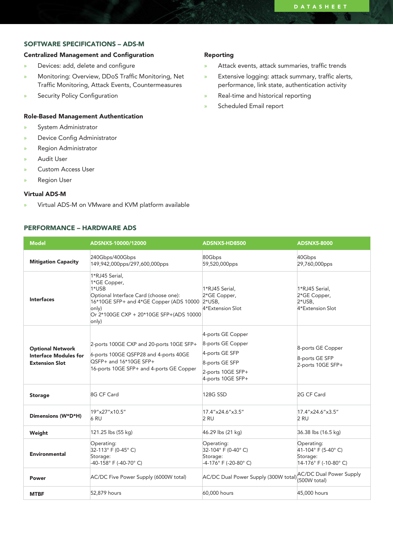# SOFTWARE SPECIFICATIONS – ADS-M

# Centralized Management and Configuration

- » Devices: add, delete and configure
- » Monitoring: Overview, DDoS Traffic Monitoring, Net Traffic Monitoring, Attack Events, Countermeasures
- » Security Policy Configuration

#### Role-Based Management Authentication

- » System Administrator
- » Device Config Administrator
- » Region Administrator
- » Audit User
- » Custom Access User
- » Region User

#### Virtual ADS-M

» Virtual ADS-M on VMware and KVM platform available

# PERFORMANCE – HARDWARE ADS

#### Reporting

- » Attack events, attack summaries, traffic trends
- » Extensive logging: attack summary, traffic alerts, performance, link state, authentication activity
- » Real-time and historical reporting
- » Scheduled Email report

| <b>Model</b>                                                                     | ADSNX5-10000/12000                                                                                                                                                                              | <b>ADSNX5-HD8500</b>                                                                                                 | <b>ADSNX5-8000</b>                                                     |
|----------------------------------------------------------------------------------|-------------------------------------------------------------------------------------------------------------------------------------------------------------------------------------------------|----------------------------------------------------------------------------------------------------------------------|------------------------------------------------------------------------|
| <b>Mitigation Capacity</b>                                                       | 240Gbps/400Gbps<br>149,942,000pps/297,600,000pps                                                                                                                                                | 80Gbps<br>59,520,000pps                                                                                              | 40Gbps<br>29,760,000pps                                                |
| <b>Interfaces</b>                                                                | 1*RJ45 Serial,<br>1*GE Copper,<br>1*USB<br>Optional Interface Card (choose one):<br>16*10GE SFP+ and 4*GE Copper (ADS 10000 2*USB,<br>only)<br>Or 2*100GE CXP + 20*10GE SFP+(ADS 10000<br>only) | 1*RJ45 Serial.<br>2*GE Copper,<br>4*Extension Slot                                                                   | 1*RJ45 Serial,<br>2*GE Copper,<br>$2*$ USB.<br>4*Extension Slot        |
| <b>Optional Network</b><br><b>Interface Modules for</b><br><b>Extension Slot</b> | 2-ports 100GE CXP and 20-ports 10GE SFP+<br>6-ports 100GE QSFP28 and 4-ports 40GE<br>QSFP+ and 16*10GE SFP+<br>16-ports 10GE SFP+ and 4-ports GE Copper                                         | 4-ports GE Copper<br>8-ports GE Copper<br>4-ports GE SFP<br>8-ports GE SFP<br>2-ports 10GE SFP+<br>4-ports 10GE SFP+ | 8-ports GE Copper<br>8-ports GE SFP<br>2-ports 10GE SFP+               |
| <b>Storage</b>                                                                   | 8G CF Card                                                                                                                                                                                      | 128G SSD                                                                                                             | 2G CF Card                                                             |
| Dimensions (W*D*H)                                                               | 19"x27"x10.5"<br>6 RU                                                                                                                                                                           | 17.4"x24.6"x3.5"<br>2 RU                                                                                             | 17.4"x24.6"x3.5"<br>2 RU                                               |
| Weight                                                                           | 121.25 lbs (55 kg)                                                                                                                                                                              | 46.29 lbs (21 kg)                                                                                                    | 36.38 lbs (16.5 kg)                                                    |
| <b>Environmental</b>                                                             | Operating:<br>32-113° F (0-45° C)<br>Storage:<br>-40-158° F (-40-70° C)                                                                                                                         | Operating:<br>32-104° F (0-40° C)<br>Storage:<br>-4-176° F (-20-80° C)                                               | Operating:<br>41-104° F (5-40° C)<br>Storage:<br>14-176° F (-10-80° C) |
| Power                                                                            | AC/DC Five Power Supply (6000W total)                                                                                                                                                           | AC/DC Dual Power Supply (300W total) [500W total)                                                                    | <b>AC/DC Dual Power Supply</b>                                         |
| MTBF                                                                             | 52,879 hours                                                                                                                                                                                    | 60,000 hours                                                                                                         | 45,000 hours                                                           |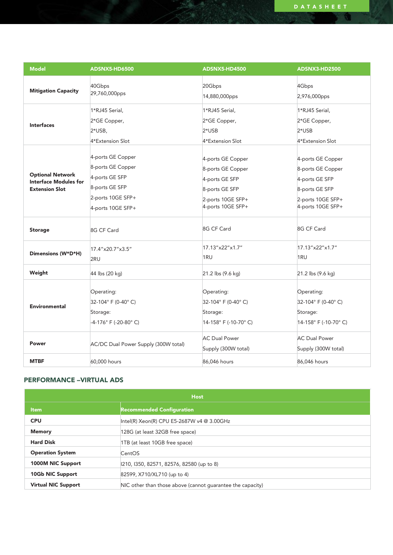| <b>Model</b>                                                                     | <b>ADSNX5-HD6500</b>                                                                                                 | ADSNX5-HD4500                                                                                                        | ADSNX3-HD2500                                                                                                        |
|----------------------------------------------------------------------------------|----------------------------------------------------------------------------------------------------------------------|----------------------------------------------------------------------------------------------------------------------|----------------------------------------------------------------------------------------------------------------------|
| <b>Mitigation Capacity</b>                                                       | 40Gbps<br>29,760,000pps                                                                                              | 20Gbps<br>14,880,000pps                                                                                              | 4Gbps<br>2,976,000pps                                                                                                |
| <b>Interfaces</b>                                                                | 1*RJ45 Serial,<br>2*GE Copper,<br>$2*$ USB,<br>4*Extension Slot                                                      | 1*RJ45 Serial,<br>2*GE Copper,<br>$2*$ USB<br>4*Extension Slot                                                       | 1*RJ45 Serial,<br>2*GE Copper,<br>$2*$ USB<br>4*Extension Slot                                                       |
| <b>Optional Network</b><br><b>Interface Modules for</b><br><b>Extension Slot</b> | 4-ports GE Copper<br>8-ports GE Copper<br>4-ports GE SFP<br>8-ports GE SFP<br>2-ports 10GE SFP+<br>4-ports 10GE SFP+ | 4-ports GE Copper<br>8-ports GE Copper<br>4-ports GE SFP<br>8-ports GE SFP<br>2-ports 10GE SFP+<br>4-ports 10GE SFP+ | 4-ports GE Copper<br>8-ports GE Copper<br>4-ports GE SFP<br>8-ports GE SFP<br>2-ports 10GE SFP+<br>4-ports 10GE SFP+ |
| <b>Storage</b>                                                                   | 8G CF Card                                                                                                           | 8G CF Card                                                                                                           | 8G CF Card                                                                                                           |
| Dimensions (W*D*H)                                                               | 17.4"x20.7"x3.5"<br>2RU                                                                                              | 17.13"x22"x1.7"<br>1RU                                                                                               | 17.13"x22"x1.7"<br>1RU                                                                                               |
| Weight                                                                           | 44 lbs (20 kg)                                                                                                       | 21.2 lbs (9.6 kg)                                                                                                    | 21.2 lbs (9.6 kg)                                                                                                    |
| <b>Environmental</b>                                                             | Operating:<br>32-104° F (0-40° C)<br>Storage:<br>-4-176° F (-20-80° C)                                               | Operating:<br>32-104° F (0-40° C)<br>Storage:<br>14-158° F (-10-70° C)                                               | Operating:<br>32-104° F (0-40° C)<br>Storage:<br>14-158° F (-10-70° C)                                               |
| Power                                                                            | AC/DC Dual Power Supply (300W total)                                                                                 | <b>AC Dual Power</b><br>Supply (300W total)                                                                          | <b>AC Dual Power</b><br>Supply (300W total)                                                                          |
| <b>MTBF</b>                                                                      | 60,000 hours                                                                                                         | 86,046 hours                                                                                                         | 86.046 hours                                                                                                         |

# PERFORMANCE –VIRTUAL ADS

| <b>Host</b>                |                                                            |  |  |  |
|----------------------------|------------------------------------------------------------|--|--|--|
| <b>Item</b>                | <b>Recommended Configuration</b>                           |  |  |  |
| <b>CPU</b>                 | Intel(R) Xeon(R) CPU E5-2687W v4 @ 3.00GHz                 |  |  |  |
| <b>Memory</b>              | 128G (at least 32GB free space)                            |  |  |  |
| <b>Hard Disk</b>           | 1TB (at least 10GB free space)                             |  |  |  |
| <b>Operation System</b>    | CentOS                                                     |  |  |  |
| 1000M NIC Support          | 210, 1350, 82571, 82576, 82580 (up to 8)                   |  |  |  |
| 10Gb NIC Support           | 82599, X710/XL710 (up to 4)                                |  |  |  |
| <b>Virtual NIC Support</b> | NIC other than those above (cannot quarantee the capacity) |  |  |  |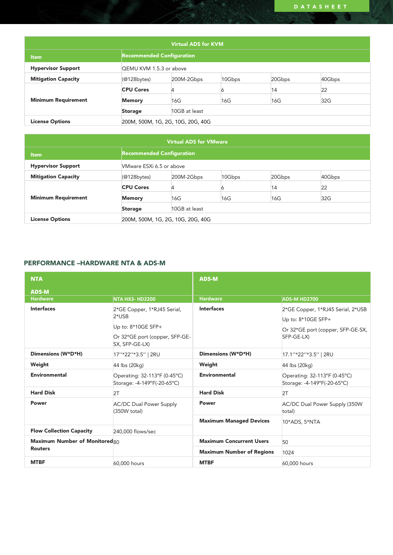| <b>Virtual ADS for KVM</b> |                                                            |                         |     |     |     |  |
|----------------------------|------------------------------------------------------------|-------------------------|-----|-----|-----|--|
| <b>Item</b>                | <b>Recommended Configuration</b>                           |                         |     |     |     |  |
| <b>Hypervisor Support</b>  |                                                            | QEMU KVM 1.5.3 or above |     |     |     |  |
| <b>Mitigation Capacity</b> | 10Gbps<br>40Gbps<br>20Gbps<br>$(@128$ bytes)<br>200M-2Gbps |                         |     |     |     |  |
|                            | <b>CPU Cores</b>                                           |                         |     | 14  | 22  |  |
| <b>Minimum Requirement</b> | <b>Memory</b>                                              | 16G                     | 16G | 16G | 32G |  |
|                            | <b>Storage</b>                                             | 10GB at least           |     |     |     |  |
| <b>License Options</b>     | 200M, 500M, 1G, 2G, 10G, 20G, 40G                          |                         |     |     |     |  |

| <b>Virtual ADS for VMware</b> |                                                            |                          |     |     |     |  |
|-------------------------------|------------------------------------------------------------|--------------------------|-----|-----|-----|--|
| <b>Item</b>                   | <b>Recommended Configuration</b>                           |                          |     |     |     |  |
| <b>Hypervisor Support</b>     |                                                            | VMware ESXi 6.5 or above |     |     |     |  |
| <b>Mitigation Capacity</b>    | 10Gbps<br>40Gbps<br>$(@128$ bytes)<br>20Gbps<br>200M-2Gbps |                          |     |     |     |  |
|                               | <b>CPU Cores</b>                                           |                          |     | 14  | 22  |  |
| <b>Minimum Requirement</b>    | <b>Memory</b>                                              | 16G                      | 16G | 16G | 32G |  |
|                               | <b>Storage</b>                                             | 10GB at least            |     |     |     |  |
| <b>License Options</b>        | 200M, 500M, 1G, 2G, 10G, 20G, 40G                          |                          |     |     |     |  |

# PERFORMANCE –HARDWARE NTA & ADS-M

| <b>NTA</b>                      |                                                                                                                    | <b>ADS-M</b>                     |                                                                                                            |  |
|---------------------------------|--------------------------------------------------------------------------------------------------------------------|----------------------------------|------------------------------------------------------------------------------------------------------------|--|
| <b>ADS-M</b>                    |                                                                                                                    |                                  |                                                                                                            |  |
| <b>Hardware</b>                 | <b>NTA HX3- HD2200</b>                                                                                             | <b>Hardware</b>                  | <b>ADS-M HD2700</b>                                                                                        |  |
| <b>Interfaces</b>               | 2*GE Copper, 1*RJ45 Serial,<br>$2*USB$<br>Up to: $8*10GE$ SFP+<br>Or 32*GE port (copper, SFP-GE-<br>SX, SFP-GE-LX) | <b>Interfaces</b>                | 2*GE Copper, 1*RJ45 Serial, 2*USB<br>Up to: 8*10GE SFP+<br>Or 32*GE port (copper, SFP-GE-SX,<br>SFP-GE-LX) |  |
| Dimensions (W*D*H)              | 17"*22"*3.5"   2RU                                                                                                 | Dimensions (W*D*H)               | 17.1"*22"*3.5"   2RU                                                                                       |  |
| Weight                          | 44 lbs (20kg)                                                                                                      | Weight                           | 44 lbs (20kg)                                                                                              |  |
| <b>Environmental</b>            | Operating: 32-113°F (0-45°C)<br>Storage: -4-149°F(-20-65°C)                                                        | <b>Environmental</b>             | Operating: 32-113°F (0-45°C)<br>Storage: -4-149°F(-20-65°C)                                                |  |
| <b>Hard Disk</b>                | 2T                                                                                                                 | <b>Hard Disk</b>                 | 2T                                                                                                         |  |
| Power                           | <b>AC/DC Dual Power Supply</b><br>(350W total)                                                                     | Power                            | AC/DC Dual Power Supply (350W)<br>total)                                                                   |  |
|                                 |                                                                                                                    | <b>Maximum Managed Devices</b>   | 10*ADS, 5*NTA                                                                                              |  |
| <b>Flow Collection Capacity</b> | 240,000 flows/sec                                                                                                  |                                  |                                                                                                            |  |
| Maximum Number of Monitored80   |                                                                                                                    | <b>Maximum Concurrent Users</b>  | 50                                                                                                         |  |
| <b>Routers</b>                  |                                                                                                                    | <b>Maximum Number of Regions</b> | 1024                                                                                                       |  |
| <b>MTBF</b>                     | 60,000 hours                                                                                                       | <b>MTBF</b>                      | 60,000 hours                                                                                               |  |